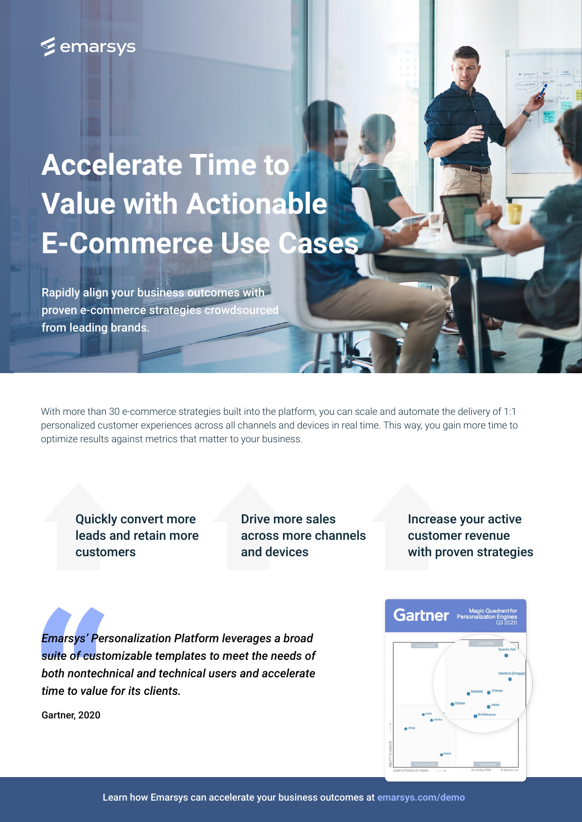# **E** emarsys

# **Accelerate Time to Value with Actionable E-Commerce Use Cases**

Rapidly align your business outcomes with proven e-commerce strategies crowdsourced from leading brands.

With more than 30 e-commerce strategies built into the platform, you can scale and automate the delivery of 1:1 personalized customer experiences across all channels and devices in real time. This way, you gain more time to optimize results against metrics that matter to your business.

Quickly convert more leads and retain more customers

Drive more sales across more channels and devices

Increase your active customer revenue with proven strategies

*Emarsys' Personalization Platform leverages a broad suite of customizable templates to meet the needs of both nontechnical and technical users and accelerate time to value for its clients.*

Gartner, 2020

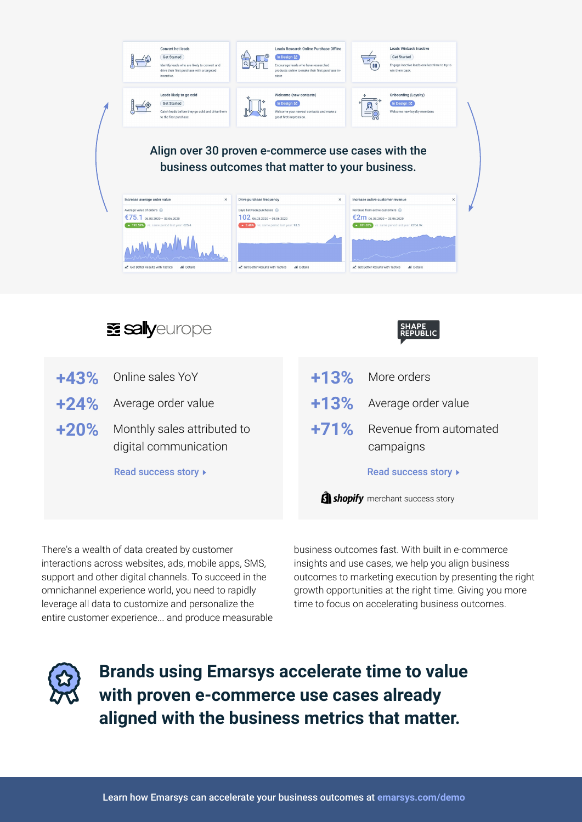

- **+24%** Average order value
- **+20%** Monthly sales attributed to digital communication

[Read success story](https://emarsys.com/why-emarsys/success-stories/shape-republic-migrated-to-shopify-plus-and-automated-their-customer-engagement-within-2-months/)  $\blacktriangleright$ 

| +13% More orders                         |
|------------------------------------------|
| $+13\%$ Average order value              |
| +71% Revenue from automated<br>campaigns |
| Read success story ▶                     |

**S** shopify merchant success story

There's a wealth of data created by customer interactions across websites, ads, mobile apps, SMS, support and other digital channels. To succeed in the omnichannel experience world, you need to rapidly leverage all data to customize and personalize the entire customer experience... and produce measurable

business outcomes fast. With built in e-commerce insights and use cases, we help you align business outcomes to marketing execution by presenting the right growth opportunities at the right time. Giving you more time to focus on accelerating business outcomes.



**Brands using Emarsys accelerate time to value with proven e-commerce use cases already aligned with the business metrics that matter.**